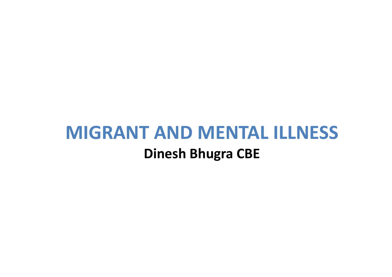#### **MIGRANT AND MENTAL ILLNESS**

#### **Dinesh Bhugra CBE**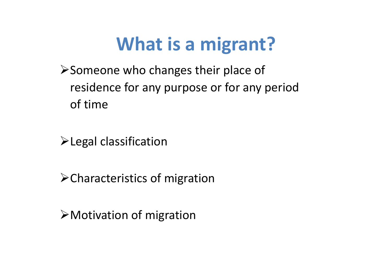## **What is a migrant?**

Someone who changes their place of residence for any purpose or for any period of time

Legal classification

Characteristics of migration

Motivation of migration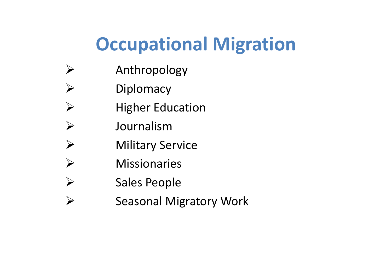# **Occupational Migration**

- $\blacktriangleright$ Anthropology
- $\blacktriangleright$ **Diplomacy**
- $\blacktriangleright$ Higher Education
- $\blacktriangleright$ Journalism
- $\blacktriangleright$ Military Service
- $\blacktriangleright$ Missionaries
- $\blacktriangleright$ Sales People
- $\blacktriangleright$ Seasonal Migratory Work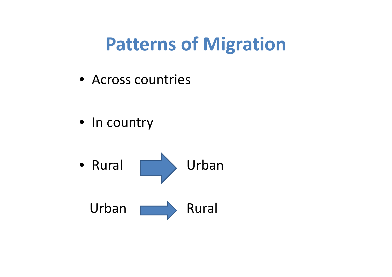## **Patterns of Migration**

• Across countries

• In country

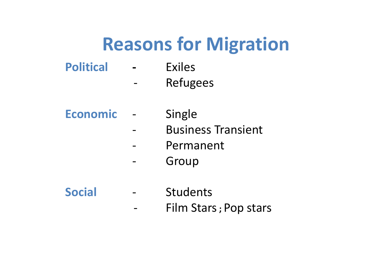## **Reasons for Migration**

- **Political ‐** Exiles
	- $\overline{\phantom{0}}$ Refugees
- **Economic** ‐ Single
	- $\overline{\phantom{0}}$ Business Transient
	- $\overline{\phantom{m}}$ - Permanent
	- ‐Group
- **Social** ‐ Students
	- $\hbox{--}$ Film Stars**;** Pop stars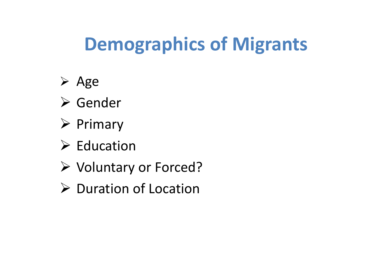# **Demographics of Migrants**

- $\triangleright$  Age
- Gender
- $\triangleright$  Primary
- $\triangleright$  Education
- Voluntary or Forced?
- ▶ Duration of Location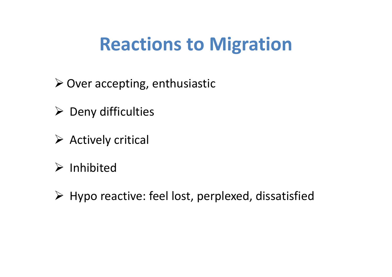## **Reactions to Migration**

- ▶ Over accepting, enthusiastic
- $\triangleright$  Deny difficulties
- $\triangleright$  Actively critical
- $\triangleright$  Inhibited
- $\triangleright$  Hypo reactive: feel lost, perplexed, dissatisfied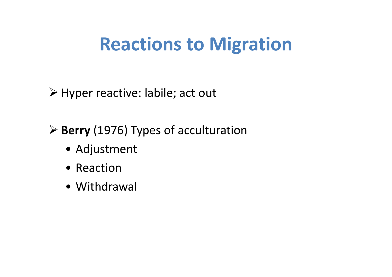## **Reactions to Migration**

Hyper reactive: labile; act out

**Berry** (1976) Types of acculturation

- Adjustment
- Reaction
- Withdrawal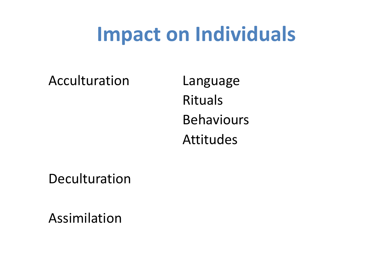# **Impact on Individuals**

Acculturation Language

Rituals BehavioursAttitudes

Deculturation

Assimilation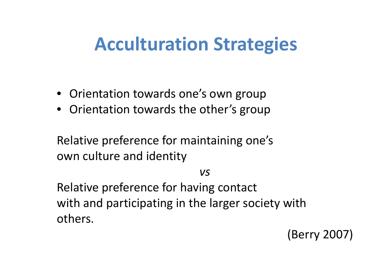### **Acculturation Strategies**

- Orientation towards one's own group
- Orientation towards the other's group

Relative preference for maintaining one's own culture and identity

*vs*

Relative preference for having contact with and participating in the larger society with others.

(Berry 2007)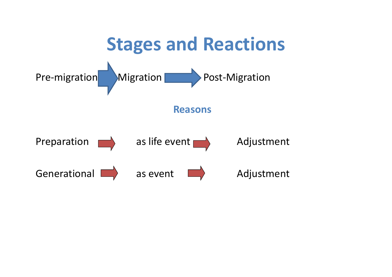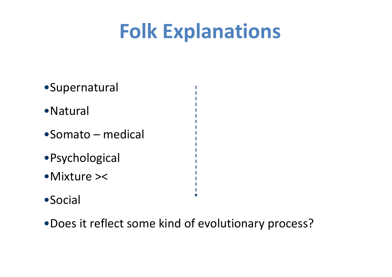# **Folk Explanations**

×

- •Supernatural •Natural •Somato – medical•Psychological •Mixture ><
- •Social
- •Does it reflect some kind of evolutionary process?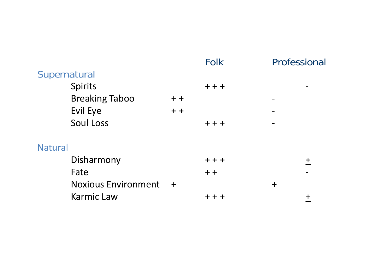|                            |       | <b>Folk</b> |        | Professional |
|----------------------------|-------|-------------|--------|--------------|
| Supernatural               |       |             |        |              |
| Spirits                    |       | $++$        |        |              |
| <b>Breaking Taboo</b>      | $+ +$ |             |        |              |
| Evil Eye                   | $+ +$ |             |        |              |
| Soul Loss                  |       | $++$        |        |              |
| <b>Natural</b>             |       |             |        |              |
| Disharmony                 |       | $++$        |        | $\mathbf +$  |
| Fate                       |       | $+ +$       |        |              |
| <b>Noxious Environment</b> | $+$   |             | $\div$ |              |
| <b>Karmic Law</b>          |       | $+ +$       |        |              |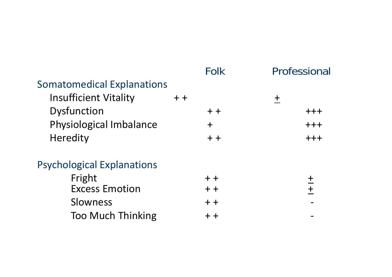|                                   |       | <b>Folk</b>                       | Professional  |
|-----------------------------------|-------|-----------------------------------|---------------|
| <b>Somatomedical Explanations</b> |       |                                   |               |
| <b>Insufficient Vitality</b>      | $+ +$ |                                   | $\ddagger$    |
| Dysfunction                       |       | $+ +$                             | $+++$         |
| Physiological Imbalance           |       | $\mathbf +$                       | $+++$         |
| Heredity                          |       | $+ +$                             | $++$          |
| <b>Psychological Explanations</b> |       |                                   |               |
| Fright                            |       | $+ +$                             | ╈             |
| <b>Excess Emotion</b>             |       | $+ +$                             | $\frac{1}{+}$ |
| Slowness                          |       | $+ +$                             |               |
| <b>Too Much Thinking</b>          |       | $\boldsymbol{+}$ $\boldsymbol{+}$ |               |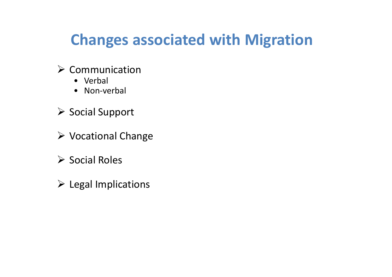#### **Changes associated with Migration**

#### $\triangleright$  Communication

- Verbal
- Non‐verbal
- ▶ Social Support
- Vocational Change
- $\triangleright$  Social Roles
- $\triangleright$  Legal Implications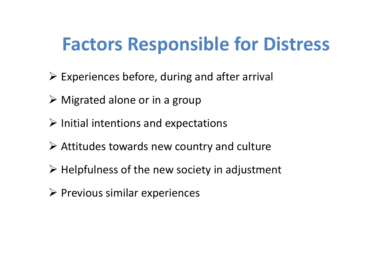### **Factors Responsible for Distress**

- $\triangleright$  Experiences before, during and after arrival
- Migrated alone or in <sup>a</sup> group
- $\triangleright$  Initial intentions and expectations
- Attitudes towards new country and culture
- $\triangleright$  Helpfulness of the new society in adjustment
- $\triangleright$  Previous similar experiences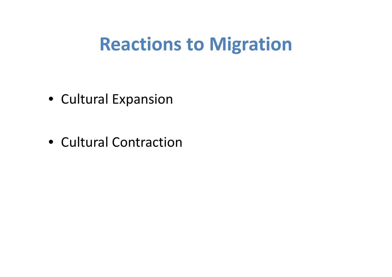#### **Reactions to Migration**

- Cultural Expansion
- Cultural Contraction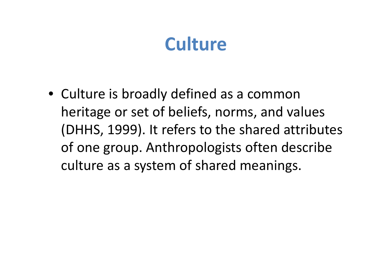• Culture is broadly defined as <sup>a</sup> common heritage or set of beliefs, norms, and values (DHHS, 1999). It refers to the shared attributes of one group. Anthropologists often describe culture as <sup>a</sup> system of shared meanings.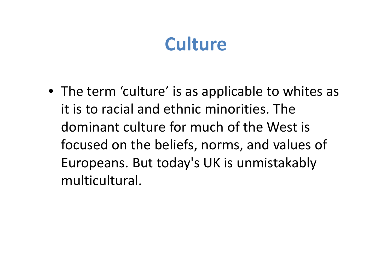• The term 'culture' is as applicable to whites as it is to racial and ethnic minorities. The dominant culture for much of the West is focused on the beliefs, norms, and values of Europeans. But today's UK is unmistakably multicultural.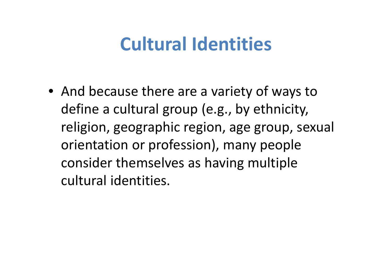### **Cultural Identities**

• And because there are <sup>a</sup> variety of ways to define <sup>a</sup> cultural group (e.g., by ethnicity, religion, geographic region, age group, sexual orientation or profession), many people consider themselves as having multiple cultural identities.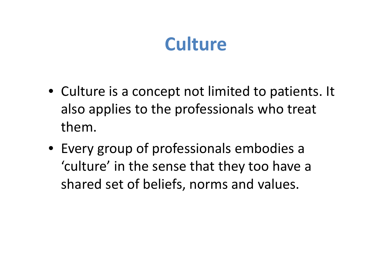- Culture is <sup>a</sup> concept not limited to patients. It also applies to the professionals who treat them.
- Every group of professionals embodies <sup>a</sup> 'culture' in the sense that they too have <sup>a</sup> shared set of beliefs, norms and values.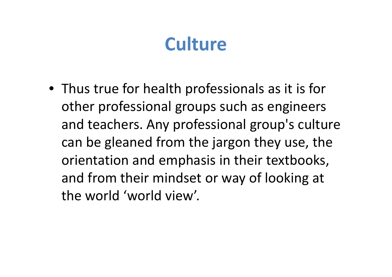• Thus true for health professionals as it is for other professional groups such as engineers and teachers. Any professional group's culture can be gleaned from the jargon they use, the orientation and emphasis in their textbooks, and from their mindset or way of looking at the world 'world view'.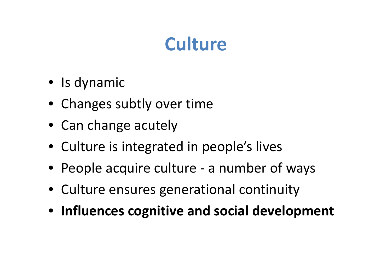- Is dynamic
- Changes subtly over time
- Can change acutely
- Culture is integrated in people's lives
- People acquire culture ‐ <sup>a</sup> number of ways
- Culture ensures generational continuity
- **Influences cognitive and social development**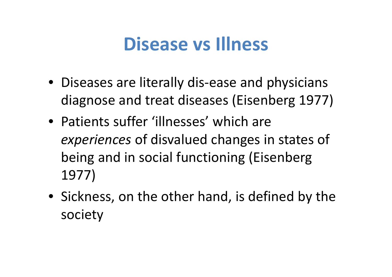#### **Disease vs Illness**

- Diseases are literally dis‐ease and physicians diagnose and treat diseases (Eisenberg 1977)
- Patients suffer 'illnesses' which are *experiences* of disvalued changes in states of being and in social functioning (Eisenberg 1977)
- Sickness, on the other hand, is defined by the society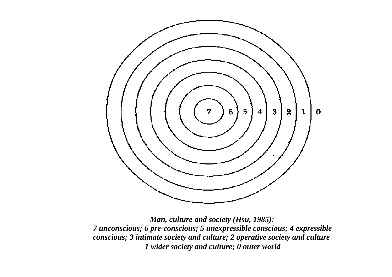

*Man, culture and society (Hsu, 1985): 7 unconscious; 6 pre-conscious; 5 unexpressible conscious; 4 expressible conscious; 3 intimate society and culture; 2 operative society and culture 1 wider society and culture; 0 outer world*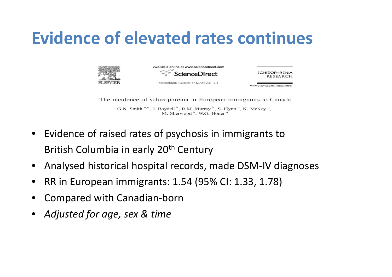#### **Evidence of elevated rates continues**



Available online at www.sciencedirect.com **ScienceDirect** 

Schizophrenia Research 87 (2006) 205-211

**SCHIZOPHRENIA RESEARCH** 

www.elsevier.com/locate/schres

The incidence of schizophrenia in European immigrants to Canada

G.N. Smith a,\*, J. Boydell b, R.M. Murray b, S. Flynn a, K. McKay c, M. Sherwood<sup>a</sup>, W.G. Honer<sup>a</sup>

- •• Evidence of raised rates of psychosis in immigrants to British Columbia in early 20<sup>th</sup> Century
- $\bullet$ Analysed historical hospital records, made DSM‐IV diagnoses
- •RR in European immigrants: 1.54 (95% CI: 1.33, 1.78)
- •Compared with Canadian‐born
- •*Adjusted for age, sex & time*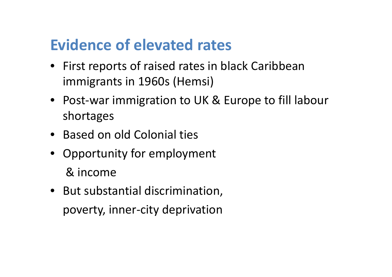#### **Evidence of elevated rates**

- First reports of raised rates in black Caribbean immigrants in 1960s (Hemsi)
- Post‐war immigration to UK & Europe to fill labour shortages
- Based on old Colonial ties
- Opportunity for employment & income
- But substantial discrimination, poverty, inner‐city deprivation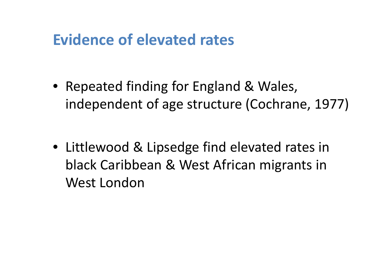#### **Evidence of elevated rates**

- Repeated finding for England & Wales, independent of age structure (Cochrane, 1977)
- Littlewood & Lipsedge find elevated rates in black Caribbean & West African migrants in West London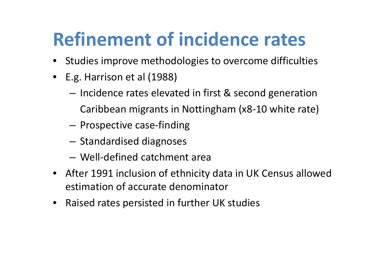- •**•** Studies improve methodologies to overcome difficulties
- $\bullet$  E.g. Harrison et al (1988)
	- Incidence rates elevated in first & second generation Caribbean migrants in Nottingham (x8‐10 white rate)
	- –**− Prospective case-finding**
	- $-$  Standardised diagnoses
	- Well‐defined catchment area
- $\bullet$  After 1991 inclusion of ethnicity data in UK Census allowed estimation of accurate denominator
- $\bullet$ Raised rates persisted in further UK studies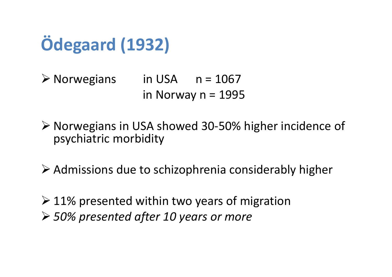

 Norwegians in USA n= 1067in Norway n = 1995

 Norwegians in USA showed 30 ‐50% higher incidence of psychiatric morbidity

Admissions due to schizophrenia considerably higher

 $\geq 11\%$  presented within two years of migration *50% presented after 10 years or more*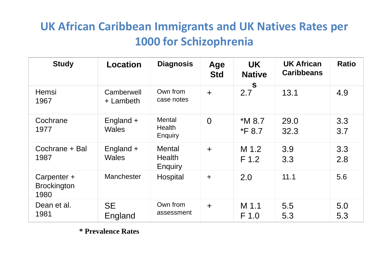#### **UK African Caribbean Immigrants and UK Natives Rates per 1000 for Schizophrenia**

| <b>Study</b>                              | Location                    | <b>Diagnosis</b>                                 | Age<br><b>Std</b> | <b>UK</b><br><b>Native</b> | <b>UK African</b><br><b>Caribbeans</b> | <b>Ratio</b> |
|-------------------------------------------|-----------------------------|--------------------------------------------------|-------------------|----------------------------|----------------------------------------|--------------|
| <b>Hemsi</b><br>1967                      | Camberwell<br>+ Lambeth     | Own from<br>case notes                           | $+$               | $\mathbf{s}$<br>2.7        | 13.1                                   | 4.9          |
| Cochrane<br>1977                          | England +<br><b>Wales</b>   | <b>Mental</b><br><b>Health</b><br><b>Enquiry</b> | $\overline{0}$    | $*M8.7$<br>*F 8.7          | 29.0<br>32.3                           | 3.3<br>3.7   |
| Cochrane + Bal<br>1987                    | England $+$<br><b>Wales</b> | <b>Mental</b><br><b>Health</b><br>Enquiry        | $\ddot{}$         | M 1.2<br>F <sub>1.2</sub>  | 3.9<br>3.3                             | 3.3<br>2.8   |
| Carpenter +<br><b>Brockington</b><br>1980 | Manchester                  | Hospital                                         | $+$               | 2.0                        | 11.1                                   | 5.6          |
| Dean et al.<br>1981                       | <b>SE</b><br>England        | Own from<br>assessment                           | $\ddot{}$         | M 1.1<br>F <sub>1.0</sub>  | 5.5<br>5.3                             | 5.0<br>5.3   |

**\* Prevalence Rates**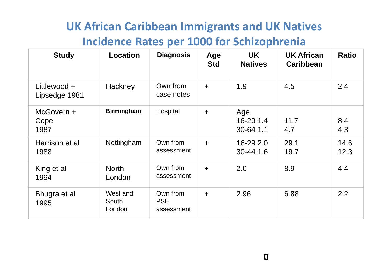#### **UK African Caribbean Immigrants and UK Natives Incidence Rates per 1000 for Schizophrenia**

| <b>Study</b>                  | <b>Location</b>             | <b>Diagnosis</b>                     | Age<br><b>Std</b>    | <b>UK</b><br><b>Natives</b>   | <b>UK African</b><br><b>Caribbean</b> | <b>Ratio</b> |
|-------------------------------|-----------------------------|--------------------------------------|----------------------|-------------------------------|---------------------------------------|--------------|
| Littlewood +<br>Lipsedge 1981 | Hackney                     | Own from<br>case notes               | $+$                  | 1.9                           | 4.5                                   | 2.4          |
| McGovern +<br>Cope<br>1987    | <b>Birmingham</b>           | Hospital                             | $\ddag$              | Age<br>16-29 1.4<br>30-64 1.1 | 11.7<br>4.7                           | 8.4<br>4.3   |
| Harrison et al<br>1988        | Nottingham                  | Own from<br>assessment               | $+$                  | 16-29 2.0<br>30-44 1.6        | 29.1<br>19.7                          | 14.6<br>12.3 |
| King et al<br>1994            | <b>North</b><br>London      | Own from<br>assessment               | $\ddot{\phantom{1}}$ | 2.0                           | 8.9                                   | 4.4          |
| Bhugra et al<br>1995          | West and<br>South<br>London | Own from<br><b>PSE</b><br>assessment | $\ddot{\phantom{1}}$ | 2.96                          | 6.88                                  | 2.2          |

**0**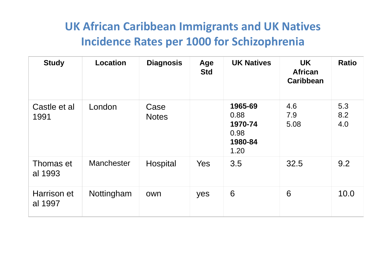#### **UK African Caribbean Immigrants and UK Natives Incidence Rates per 1000 for Schizophrenia**

| <b>Study</b>           | <b>Location</b> | <b>Diagnosis</b>     | Age<br><b>Std</b> | <b>UK Natives</b>                                     | <b>UK</b><br><b>African</b><br><b>Caribbean</b> | <b>Ratio</b>      |
|------------------------|-----------------|----------------------|-------------------|-------------------------------------------------------|-------------------------------------------------|-------------------|
| Castle et al<br>1991   | London          | Case<br><b>Notes</b> |                   | 1965-69<br>0.88<br>1970-74<br>0.98<br>1980-84<br>1.20 | 4.6<br>7.9<br>5.08                              | 5.3<br>8.2<br>4.0 |
| Thomas et<br>al 1993   | Manchester      | Hospital             | Yes               | 3.5                                                   | 32.5                                            | 9.2               |
| Harrison et<br>al 1997 | Nottingham      | own                  | yes               | 6                                                     | 6                                               | 10.0              |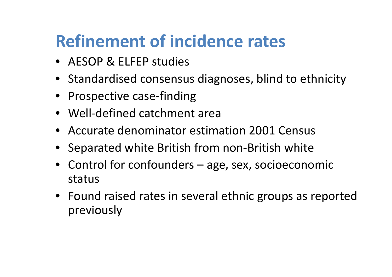- AESOP & ELFEP studies
- Standardised consensus diagnoses, blind to ethnicity
- Prospective case-finding
- Well‐defined catchment area
- Accurate denominator estimation 2001 Census
- Separated white British from non‐British white
- Control for confounders age, sex, socioeconomic status
- Found raised rates in several ethnic groups as reported previously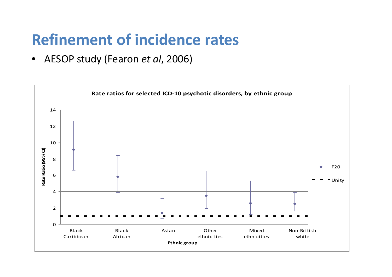• AESOP study (Fearon *et al*, 2006)

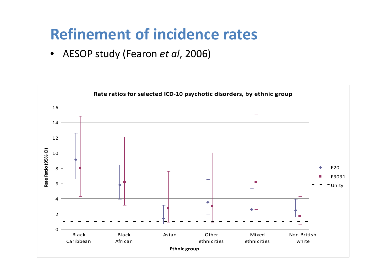• AESOP study (Fearon *et al*, 2006)

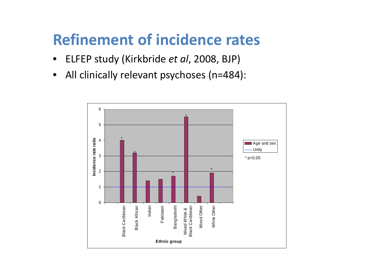- $\bullet$ ELFEP study (Kirkbride *et al*, 2008, BJP)
- •All clinically relevant psychoses (n=484):

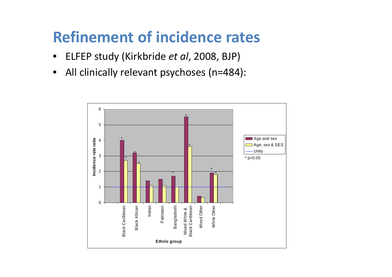- $\bullet$ ELFEP study (Kirkbride *et al*, 2008, BJP)
- $\bullet$ All clinically relevant psychoses (n=484):

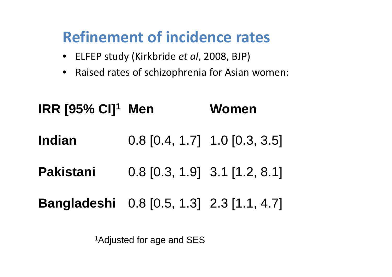- ELFEP study (Kirkbride *et al*, 2008, BJP)
- $\bullet$ Raised rates of schizophrenia for Asian women:

| <b>IRR [95% CI]<sup>1</sup></b> Men       |                                 | Women |  |  |
|-------------------------------------------|---------------------------------|-------|--|--|
| <b>Indian</b>                             | $0.8$ [0.4, 1.7] 1.0 [0.3, 3.5] |       |  |  |
| <b>Pakistani</b>                          | $0.8$ [0.3, 1.9] 3.1 [1.2, 8.1] |       |  |  |
| Bangladeshi 0.8 [0.5, 1.3] 2.3 [1.1, 4.7] |                                 |       |  |  |

<sup>1</sup>Adjusted for age and SES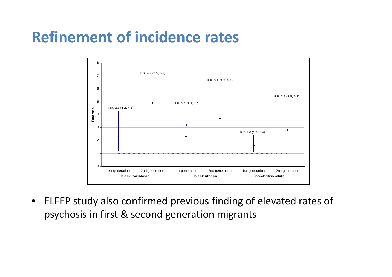

 $\bullet$  ELFEP study also confirmed previous finding of elevated rates of psychosis in first & second generation migrants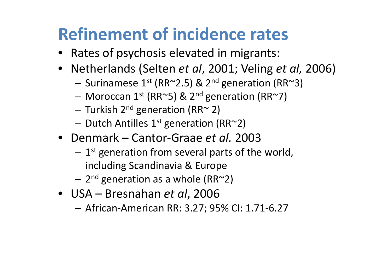- Rates of psychosis elevated in migrants:
- Netherlands (Selten *et al*, 2001; Veling *et al,* 2006)
	- $-$  Surinamese 1st (RR~2.5) & 2<sup>nd</sup> generation (RR~3)
	- Moroccan 1st (RR~5) & 2<sup>nd</sup> generation (RR~7)
	- − Turkish 2<sup>nd</sup> generation (RR~ 2)
	- $-$  Dutch Antilles  $1^{\rm st}$  generation (RR~2)
- Denmark Cantor‐Graae *et al.* 2003
	- $1^{\rm st}$  generation from several parts of the world, including Scandinavia & Europe
	- $-$  2<sup>nd</sup> generation as a whole (RR~2)
- USA Bresnahan *et al*, 2006
	- African‐American RR: 3.27; 95% CI: 1.71‐6.27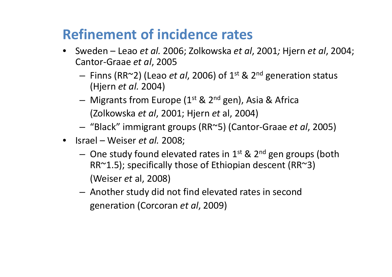- Sweden Leao *et al.* 2006; Zolkowska *et al*, 2001*;* Hjern *et al*, 2004; Cantor‐Graae *et al*, 2005
	- – Finns (RR~2) (Leao *et al*, 2006) of 1st & 2n<sup>d</sup> generation status (Hjern *et al.* 2004)
	- Migrants from Europe (1<sup>st</sup> & 2<sup>nd</sup> gen), Asia & Africa (Zolkowska *et al*, 2001; Hjern *et* al, 2004)
	- –"Black" immigrant groups (RR~5) (Cantor‐Graae *et al*, 2005)
- Israel Weiser *et al.* 2008;
	- $-$  One study found elevated rates in 1st & 2<sup>nd</sup> gen groups (both RR~1.5); specifically those of Ethiopian descent (RR~3) (Weiser *et* al, 2008)
	- Another study did not find elevated rates in second generation (Corcoran *et al*, 2009)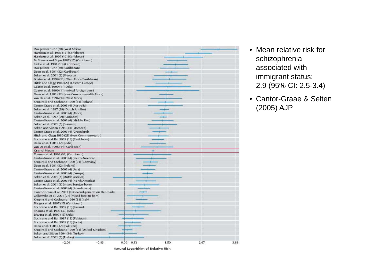Rwegellera 1977 (30) (West Africa) Harrison et al. 1988 (16) (Caribbean) Harrison et al. 1997 (10) (Caribbean) McGovern and Cope 1987 (17) (Caribbean) Castle et al. 1991 (13) (Caribbean) Rwegellera 1977 (30) (Caribbean) Dean et al. 1981 (32) (Caribbean) Selten et al. 2001 (3) (Morocco) Goater et al. 1999 (11) (West Africa/Caribbean) Hitch and Clegg 1980 (28) (Eastern Europe) Goater et al. 1999 (11) (Asia) Goater et al. 1999 (11) (mixed foreign-born) Dean et al. 1981 (32) (New Commonwealth Africa) van Os et al. 1996 (14) (West Africa) Krupinski and Cochrane 1980 (31) (Poland) Cantor-Graae et al. 2003 (4) (Australia) Selten et al. 1997 (29) (Dutch Antilles) Cantor-Graae et al. 2003 (4) (Africa) Selten et al. 1997 (29) (Surinam) Cantor-Graae et al. 2003 (4) (Middle East) Selten et al. 2001 (3) (Surinam) Selten and Sijben 1994 (34) (Morocco) Cantor-Graae et al. 2003 (4) (Greenland) Hitch and Clegg 1980 (28) (New Commonwealth) Cochrane and Bal 1987 (18) (Caribbean) Dean et al. 1981 (32) (India) van Os et al. 1996 (14) (Caribbean) **Grand Mean** Thomas et al. 1993 (33) (Caribbean) Cantor-Graae et al. 2003 (4) (South America) Krupinski and Cochrane 1980 (31) (Germany) Dean et al. 1981 (32) (Ireland) Cantor-Graae et al. 2003 (4) (Asia) Cantor-Graae et al. 2003 (4) (Europe) Selten et al. 2001 (3) (Dutch Antilles) Cantor-Graae et al. 2003 (4) (North America) Selten et al. 2001 (3) (mixed foreign-born) Cantor-Graae et al. 2003 (4) (Scandinavia) Cantor-Graae et al. 2003 (4) (second-generation Denmark) Zolkowska et al. 2001 (27) (mixed foreign-born) Krupinski and Cochrane 1980 (31) (Italy) Bhugra et al. 1997 (15) (Caribbean) Cochrane and Bal 1987 (18) (Ireland) Thomas et al. 1993 (33) (Asia) Bhugra et al. 1997 (15) (Asia) Cochrane and Bal 1987 (18) (Pakistan) Cochrane and Bal 1987 (18) (India) Dean et al. 1981 (32) (Pakistan) Krupinski and Cochrane 1980 (31) (United Kingdom) Selten and Sijben 1994 (34) (Turkey) Selten et al. 2001 (3) (Turkey)  $-2.00$  $-0.83$  $0.00 0.33$ 1.50 2.67

Natural Logarithim of Relative Risk

- Mean relative risk for schizophrenia associated with immigrant status: 2.9 (95% CI: 2.5-3.4)
- Cantor-Graae & Selten (2005) AJP

3.83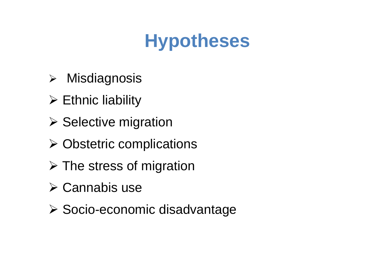# **Hypotheses**

- Misdiagnosis
- $\triangleright$  Ethnic liability
- $\triangleright$  Selective migration
- $\triangleright$  Obstetric complications
- $\triangleright$  The stress of migration
- $\triangleright$  Cannabis use
- **≻ Socio-economic disadvantage**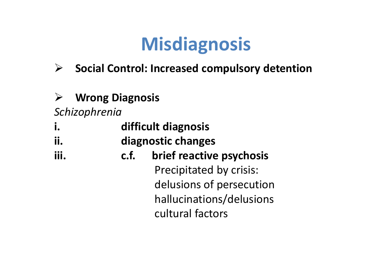# **Misdiagnosis**

- $\blacktriangleright$ **Social Control: Increased compulsory detention**
- $\blacktriangleright$ **Wrong Diagnosis**

*Schizophrenia*

- **i. difficult diagnosis**
- **ii. diagnostic changes**
- **iii. c.f.brief reactive psychosis**

Precipitated by crisis: delusions of persecution hallucinations/delusions cultural factors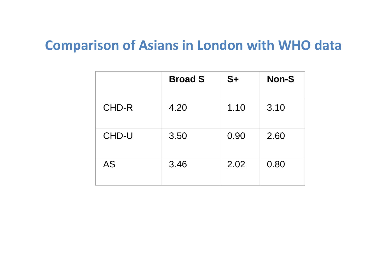#### **Comparison of Asians in London with WHO data**

|       | <b>Broad S</b> | $S+$ | <b>Non-S</b> |
|-------|----------------|------|--------------|
| CHD-R | 4.20           | 1.10 | 3.10         |
| CHD-U | 3.50           | 0.90 | 2.60         |
| AS    | 3.46           | 2.02 | 0.80         |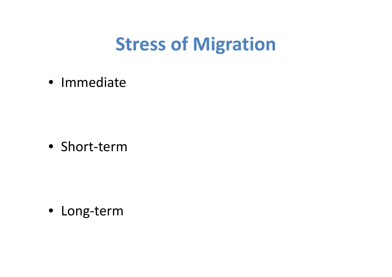## **Stress of Migration**

• Immediate

• Short‐term

• Long‐term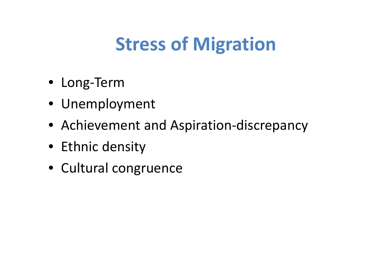# **Stress of Migration**

- Long‐Term
- Unemployment
- Achievement and Aspiration‐discrepancy
- Ethnic density
- Cultural congruence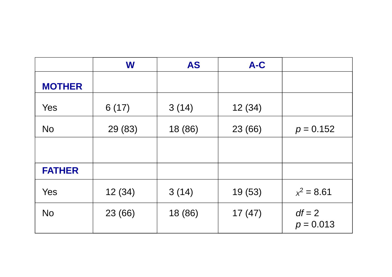|               | W       | <b>AS</b> | $A-C$   |                         |
|---------------|---------|-----------|---------|-------------------------|
| <b>MOTHER</b> |         |           |         |                         |
| Yes           | 6(17)   | 3(14)     | 12(34)  |                         |
| <b>No</b>     | 29 (83) | 18 (86)   | 23 (66) | $p = 0.152$             |
|               |         |           |         |                         |
| <b>FATHER</b> |         |           |         |                         |
| Yes           | 12(34)  | 3(14)     | 19(53)  | $x^2 = 8.61$            |
| <b>No</b>     | 23 (66) | 18 (86)   | 17(47)  | $df = 2$<br>$p = 0.013$ |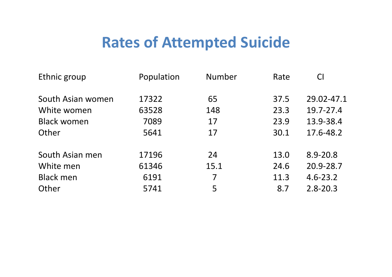#### **Rates of Attempted Suicide**

| Ethnic group       | Population | Number | Rate | <b>CI</b>    |
|--------------------|------------|--------|------|--------------|
| South Asian women  | 17322      | 65     | 37.5 | 29.02-47.1   |
| White women        | 63528      | 148    | 23.3 | 19.7-27.4    |
| <b>Black women</b> | 7089       | 17     | 23.9 | 13.9-38.4    |
| Other              | 5641       | 17     | 30.1 | 17.6-48.2    |
| South Asian men    | 17196      | 24     | 13.0 | $8.9 - 20.8$ |
| White men          | 61346      | 15.1   | 24.6 | 20.9-28.7    |
| <b>Black men</b>   | 6191       | 7      | 11.3 | $4.6 - 23.2$ |
| Other              | 5741       | 5      | 8.7  | $2.8 - 20.3$ |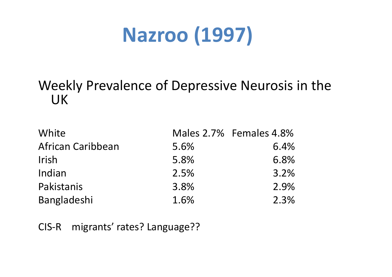# **Nazroo (1997)**

#### Weekly Prevalence of Depressive Neurosis in the UK

| White             |      | Males 2.7% Females 4.8% |
|-------------------|------|-------------------------|
| African Caribbean | 5.6% | 6.4%                    |
| <b>Irish</b>      | 5.8% | 6.8%                    |
| Indian            | 2.5% | 3.2%                    |
| Pakistanis        | 3.8% | 2.9%                    |
| Bangladeshi       | 1.6% | 2.3%                    |

CIS migrants' rates? Language??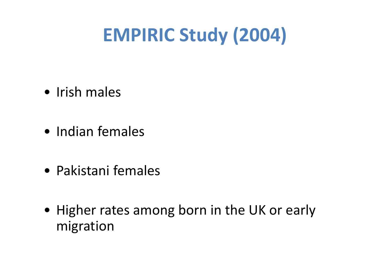# **EMPIRIC Study (2004)**

- Irish males
- Indian females
- Pakistani females
- Higher rates among born in the UK or early migration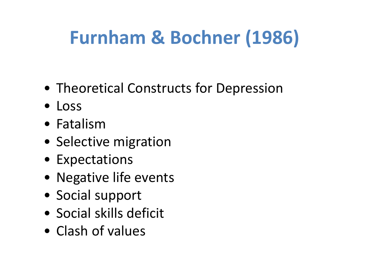# **Furnham & Bochner (1986)**

- Theoretical Constructs for Depression
- Loss
- Fatalism
- Selective migration
- Expectations
- Negative life events
- Social support
- Social skills deficit
- Clash of values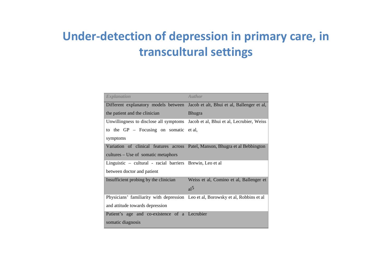#### **Under‐detection of depression in primary care, in transcultural settings**

| <b>Explanation</b>                                                               | Author                                     |
|----------------------------------------------------------------------------------|--------------------------------------------|
| Different explanatory models between                                             | Jacob et alt, Bhui et al, Ballenger et al, |
| the patient and the clinician                                                    | <b>Bhugra</b>                              |
| Unwillingness to disclose all symptoms Jacob et al, Bhui et al, Lecrubier, Weiss |                                            |
| to the $GP$ – Focusing on somatic et al,                                         |                                            |
| symptoms                                                                         |                                            |
| Variation of clinical features across Patel, Manson, Bhugra et al Bebbington     |                                            |
| cultures – Use of somatic metaphors                                              |                                            |
| Linguistic – cultural - racial barriers Brewin, Leo et al                        |                                            |
| between doctor and patient                                                       |                                            |
| Insufficient probing by the clinician                                            | Weiss et al, Comino et al, Ballenger et    |
|                                                                                  | al <sup>5</sup>                            |
| Physicians' familiarity with depression Leo et al, Borowsky et al, Robbins et al |                                            |
| and attitude towards depression                                                  |                                            |
| Patient's age and co-existence of a Lecrubier                                    |                                            |
| somatic diagnosis                                                                |                                            |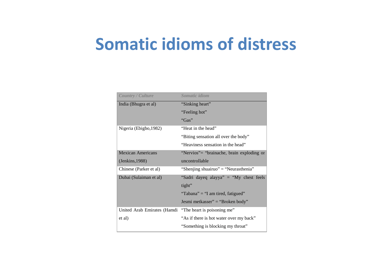### **Somatic idioms of distress**

| Somatic idiom                             |
|-------------------------------------------|
| "Sinking heart"                           |
| "Feeling hot"                             |
| "Gas"                                     |
| "Heat in the head"                        |
| "Biting sensation all over the body"      |
| "Heaviness sensation in the head"         |
| "Nervios"= "brainache, brain exploding or |
| uncontrollable                            |
| "Shenjing shuairuo" = "Neurasthenia"      |
| "Sadri dayeq alayya" = "My chest feels"   |
| tight"                                    |
| "Tabana" = "I am tired, fatigued"         |
| Jesmi metkasser" = "Broken body"          |
| "The heart is poisoning me"               |
| "As if there is hot water over my back"   |
| "Something is blocking my throat"         |
|                                           |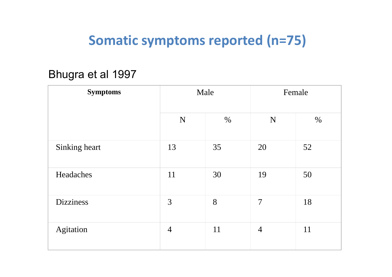#### **Somatic symptoms reported (n=75)**

#### Bhugra et al 1997

| <b>Symptoms</b>  | Male           |      | Female         |      |
|------------------|----------------|------|----------------|------|
|                  | $\mathbf N$    | $\%$ | ${\bf N}$      | $\%$ |
| Sinking heart    | 13             | 35   | 20             | 52   |
| Headaches        | 11             | 30   | 19             | 50   |
| <b>Dizziness</b> | 3              | 8    | $\overline{7}$ | 18   |
| Agitation        | $\overline{4}$ | 11   | $\overline{4}$ | 11   |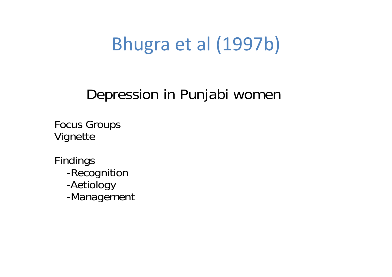## Bhugra et al (1997b)

#### Depression in Punjabi women

Focus Groups Vignette

Findings -Recognition -Aetiology -Management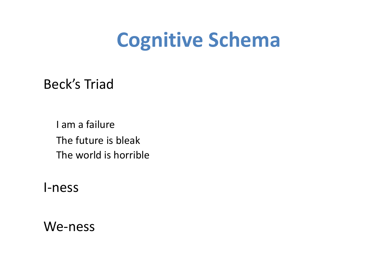# **Cognitive Schema**

Beck's Triad

I am <sup>a</sup> failure The future is bleak The world is horrible

I‐ness

We-ness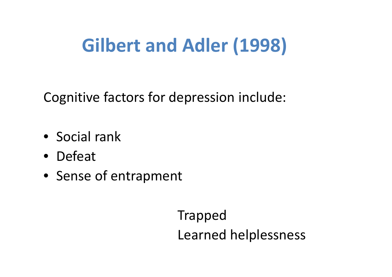# **Gilbert and Adler (1998)**

Cognitive factors for depression include:

- Social rank
- Defeat
- Sense of entrapment

Trapped Learned helplessness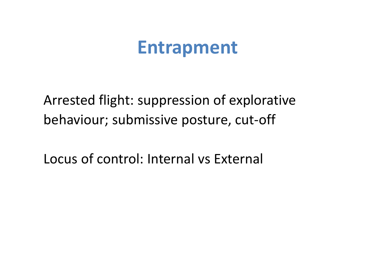## **Entrapment**

Arrested flight: suppression of explorative behaviour; submissive posture, cut-off

Locus of control: Internal vs External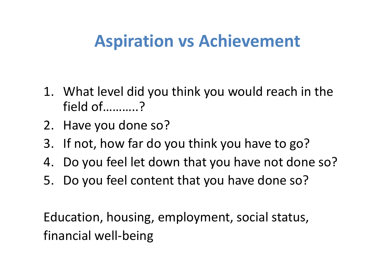## **Aspiration vs Achievement**

- 1. What level did you think you would reach in the field of………..?
- 2. Have you done so?
- 3. If not, how far do you think you have to go?
- 4. Do you feel let down that you have not done so?
- 5. Do you feel content that you have done so?

Education, housing, employment, social status, financial well‐being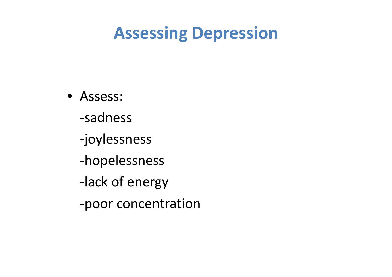## **Assessing Depression**

- Assess: ‐sadness‐joylessness ‐hopelessness ‐lack of energy
	- ‐poor concentration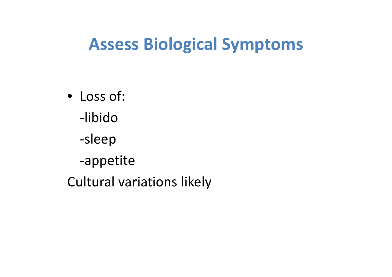## **Assess Biological Symptoms**

• Loss of: ‐libido‐sleep ‐appetite Cultural variations likely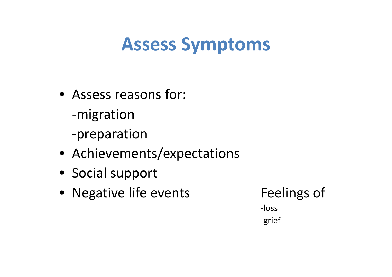## **Assess Symptoms**

- Assess reasons for: ‐migration ‐preparation
- Achievements/expectations
- Social support
- Negative life events Feelings of

‐loss‐grief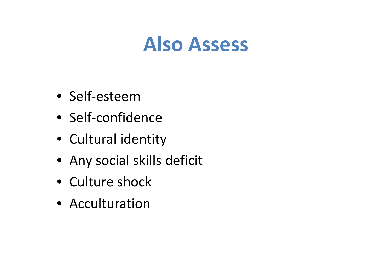# **Also Assess**

- Self‐esteem
- Self‐confidence
- Cultural identity
- Any social skills deficit
- Culture shock
- Acculturation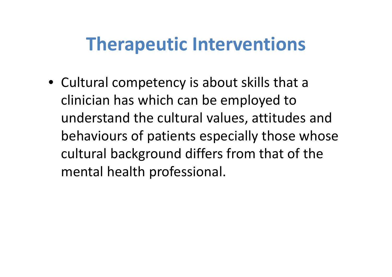## **Therapeutic Interventions**

• Cultural competency is about skills that <sup>a</sup> clinician has which can be employed to understand the cultural values, attitudes and behaviours of patients especially those whose cultural background differs from that of the mental health professional.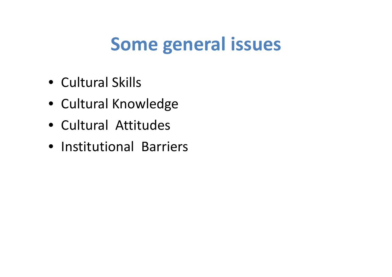# **Some general issues**

- Cultural Skills
- Cultural Knowledge
- Cultural Attitudes
- Institutional Barriers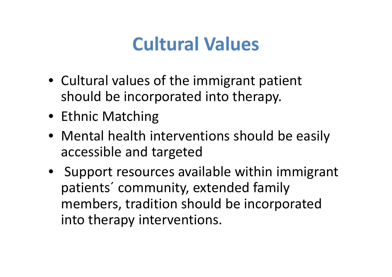# **Cultural Values**

- Cultural values of the immigrant patient should be incorporated into therapy.
- Ethnic Matching
- Mental health interventions should be easily accessible and targeted
- Support resources available within immigrant patients´ community, extended family members, tradition should be incorporated into therapy interventions.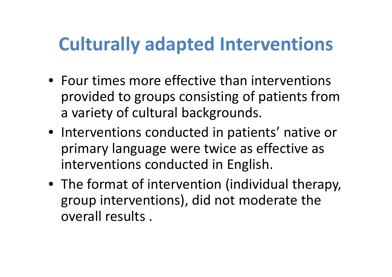# **Culturally adapted Interventions**

- Four times more effective than interventions provided to groups consisting of patients from a variety of cultural backgrounds.
- Interventions conducted in patients' native or primary language were twice as effective as interventions conducted in English.
- The format of intervention (individual therapy, group interventions), did not moderate the overall results .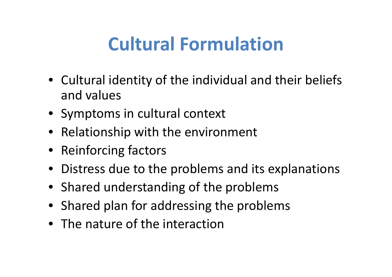# **Cultural Formulation**

- Cultural identity of the individual and their beliefs and values
- Symptoms in cultural context
- Relationship with the environment
- Reinforcing factors
- Distress due to the problems and its explanations
- Shared understanding of the problems
- Shared plan for addressing the problems
- The nature of the interaction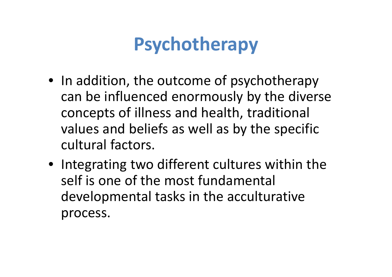# **Psychotherapy**

- In addition, the outcome of psychotherapy can be influenced enormously by the diverse concepts of illness and health, traditional values and beliefs as well as by the specific cultural factors.
- Integrating two different cultures within the self is one of the most fundamental developmental tasks in the acculturative process.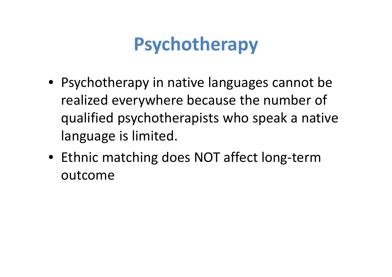# **Psychotherapy**

- Psychotherapy in native languages cannot be realized everywhere because the number of qualified psychotherapists who speak a native language is limited.
- Ethnic matching does NOT affect long ‐term outcome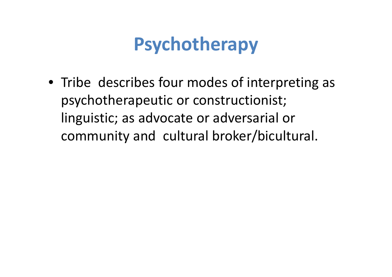# **Psychotherapy**

• Tribe describes four modes of interpreting as psychotherapeutic or constructionist; linguistic; as advocate or adversarial or community and cultural broker/bicultural.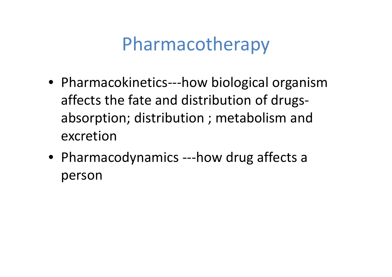### Pharmacotherapy

- Pharmacokinetics‐‐‐how biological organism affects the fate and distribution of drugs ‐absorption; distribution ; metabolism and excretion
- Pharmacodynamics ‐‐‐how drug affects a person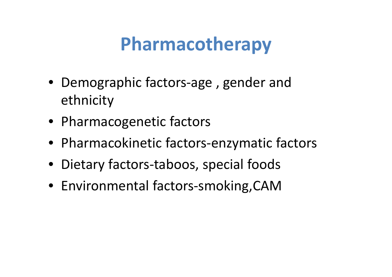### **Pharmacotherapy**

- Demographic factors-age, gender and ethnicity
- Pharmacogenetic factors
- Pharmacokinetic factors ‐enzymatic factors
- Dietary factors-taboos, special foods
- Environmental factors ‐smoking,CAM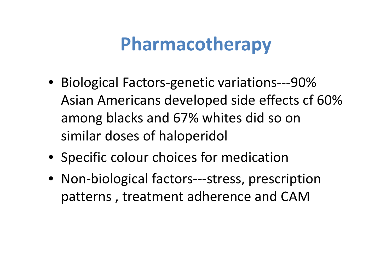### **Pharmacotherapy**

- Biological Factors-genetic variations---90% Asian Americans developed side effects cf 60% among blacks and 67% whites did so on similar doses of haloperidol
- Specific colour choices for medication
- Non-biological factors---stress, prescription patterns , treatment adherence and CAM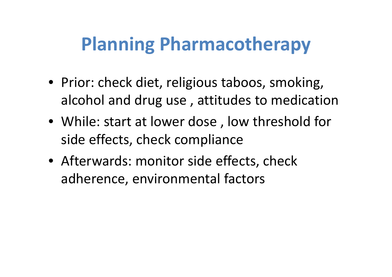# **Planning Pharmacotherapy**

- Prior: check diet, religious taboos, smoking, alcohol and drug use , attitudes to medication
- While: start at lower dose , low threshold for side effects, check compliance
- Afterwards: monitor side effects, check adherence, environmental factors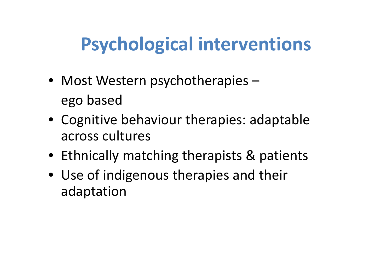# **Psychological interventions**

- Most Western psychotherapies ego based
- Cognitive behaviour therapies: adaptable across cultures
- Ethnically matching therapists & patients
- Use of indigenous therapies and their adaptation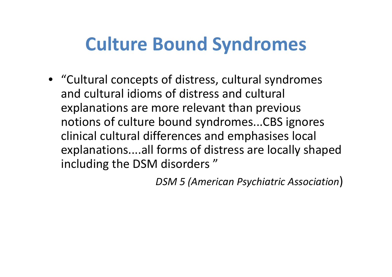### **Culture Bound Syndromes**

• "Cultural concepts of distress, cultural syndromes and cultural idioms of distress and cultural explanations are more relevant than previous notions of culture bound syndromes...CBS ignores clinical cultural differences and emphasises local explanations....all forms of distress are locally shaped including the DSM disorders "

*DSM <sup>5</sup> (American Psychiatric Association*)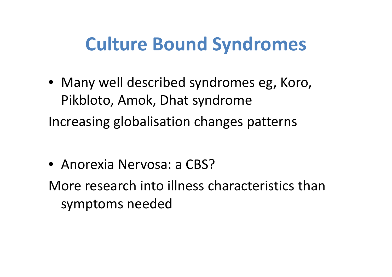#### **Culture Bound Syndromes**

- Many well described syndromes eg, Koro, Pikbloto, Amok, Dhat syndrome Increasing globalisation changes patterns
- Anorexia Nervosa: a CBS?
- More research into illness characteristics than symptoms needed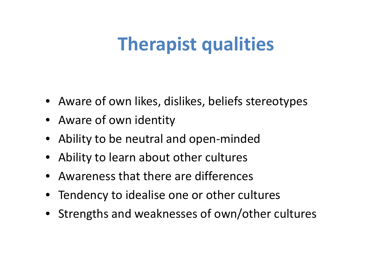# **Therapist qualities**

- Aware of own likes, dislikes, beliefs stereotypes
- Aware of own identity
- Ability to be neutral and open‐minded
- Ability to learn about other cultures
- Awareness that there are differences
- Tendency to idealise one or other cultures
- Strengths and weaknesses of own/other cultures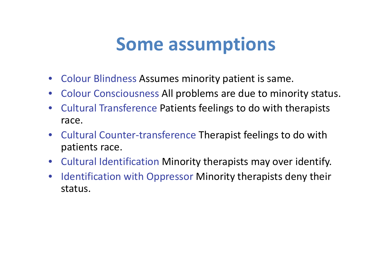#### **Some assumptions**

- Colour Blindness Assumes minority patient is same.
- Colour Consciousness All problems are due to minority status.
- $\bullet$  Cultural Transference Patients feelings to do with therapists race.
- Cultural Counter‐transference Therapist feelings to do with patients race.
- Cultural Identification Minority therapists may over identify.
- $\bullet$ • Identification with Oppressor Minority therapists deny their status.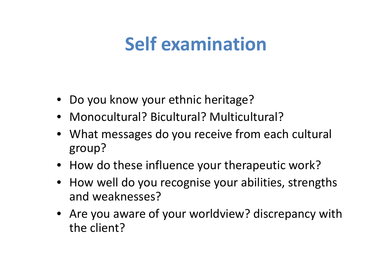### **Self examination**

- Do you know your ethnic heritage?
- Monocultural? Bicultural? Multicultural?
- What messages do you receive from each cultural group?
- How do these influence your therapeutic work?
- How well do you recognise your abilities, strengths and weaknesses?
- Are you aware of your worldview? discrepancy with the client?